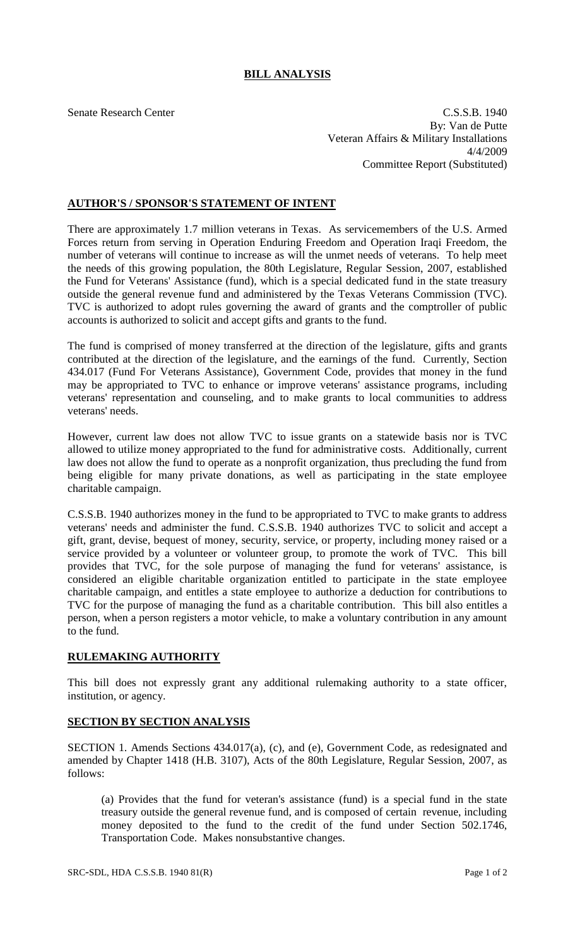## **BILL ANALYSIS**

Senate Research Center C.S.S.B. 1940 By: Van de Putte Veteran Affairs & Military Installations 4/4/2009 Committee Report (Substituted)

## **AUTHOR'S / SPONSOR'S STATEMENT OF INTENT**

There are approximately 1.7 million veterans in Texas. As servicemembers of the U.S. Armed Forces return from serving in Operation Enduring Freedom and Operation Iraqi Freedom, the number of veterans will continue to increase as will the unmet needs of veterans. To help meet the needs of this growing population, the 80th Legislature, Regular Session, 2007, established the Fund for Veterans' Assistance (fund), which is a special dedicated fund in the state treasury outside the general revenue fund and administered by the Texas Veterans Commission (TVC). TVC is authorized to adopt rules governing the award of grants and the comptroller of public accounts is authorized to solicit and accept gifts and grants to the fund.

The fund is comprised of money transferred at the direction of the legislature, gifts and grants contributed at the direction of the legislature, and the earnings of the fund. Currently, Section 434.017 (Fund For Veterans Assistance), Government Code, provides that money in the fund may be appropriated to TVC to enhance or improve veterans' assistance programs, including veterans' representation and counseling, and to make grants to local communities to address veterans' needs.

However, current law does not allow TVC to issue grants on a statewide basis nor is TVC allowed to utilize money appropriated to the fund for administrative costs. Additionally, current law does not allow the fund to operate as a nonprofit organization, thus precluding the fund from being eligible for many private donations, as well as participating in the state employee charitable campaign.

C.S.S.B. 1940 authorizes money in the fund to be appropriated to TVC to make grants to address veterans' needs and administer the fund. C.S.S.B. 1940 authorizes TVC to solicit and accept a gift, grant, devise, bequest of money, security, service, or property, including money raised or a service provided by a volunteer or volunteer group, to promote the work of TVC. This bill provides that TVC, for the sole purpose of managing the fund for veterans' assistance, is considered an eligible charitable organization entitled to participate in the state employee charitable campaign, and entitles a state employee to authorize a deduction for contributions to TVC for the purpose of managing the fund as a charitable contribution. This bill also entitles a person, when a person registers a motor vehicle, to make a voluntary contribution in any amount to the fund.

## **RULEMAKING AUTHORITY**

This bill does not expressly grant any additional rulemaking authority to a state officer, institution, or agency.

## **SECTION BY SECTION ANALYSIS**

SECTION 1. Amends Sections 434.017(a), (c), and (e), Government Code, as redesignated and amended by Chapter 1418 (H.B. 3107), Acts of the 80th Legislature, Regular Session, 2007, as follows:

(a) Provides that the fund for veteran's assistance (fund) is a special fund in the state treasury outside the general revenue fund, and is composed of certain revenue, including money deposited to the fund to the credit of the fund under Section 502.1746, Transportation Code. Makes nonsubstantive changes.